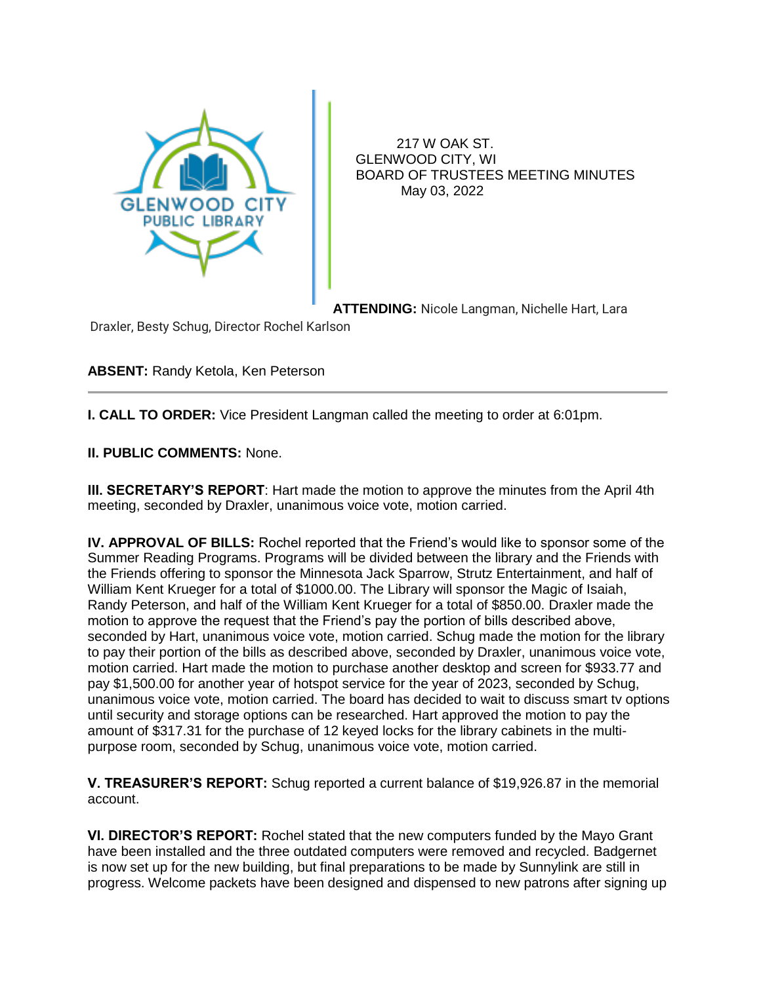

 217 W OAK ST. GLENWOOD CITY, WI BOARD OF TRUSTEES MEETING MINUTES May 03, 2022

**ATTENDING:** Nicole Langman, Nichelle Hart, Lara

Draxler, Besty Schug, Director Rochel Karlson

**ABSENT:** Randy Ketola, Ken Peterson

**I. CALL TO ORDER:** Vice President Langman called the meeting to order at 6:01pm.

**II. PUBLIC COMMENTS:** None.

**III. SECRETARY'S REPORT**: Hart made the motion to approve the minutes from the April 4th meeting, seconded by Draxler, unanimous voice vote, motion carried.

**IV. APPROVAL OF BILLS:** Rochel reported that the Friend's would like to sponsor some of the Summer Reading Programs. Programs will be divided between the library and the Friends with the Friends offering to sponsor the Minnesota Jack Sparrow, Strutz Entertainment, and half of William Kent Krueger for a total of \$1000.00. The Library will sponsor the Magic of Isaiah, Randy Peterson, and half of the William Kent Krueger for a total of \$850.00. Draxler made the motion to approve the request that the Friend's pay the portion of bills described above, seconded by Hart, unanimous voice vote, motion carried. Schug made the motion for the library to pay their portion of the bills as described above, seconded by Draxler, unanimous voice vote, motion carried. Hart made the motion to purchase another desktop and screen for \$933.77 and pay \$1,500.00 for another year of hotspot service for the year of 2023, seconded by Schug, unanimous voice vote, motion carried. The board has decided to wait to discuss smart tv options until security and storage options can be researched. Hart approved the motion to pay the amount of \$317.31 for the purchase of 12 keyed locks for the library cabinets in the multipurpose room, seconded by Schug, unanimous voice vote, motion carried.

**V. TREASURER'S REPORT:** Schug reported a current balance of \$19,926.87 in the memorial account.

**VI. DIRECTOR'S REPORT:** Rochel stated that the new computers funded by the Mayo Grant have been installed and the three outdated computers were removed and recycled. Badgernet is now set up for the new building, but final preparations to be made by Sunnylink are still in progress. Welcome packets have been designed and dispensed to new patrons after signing up